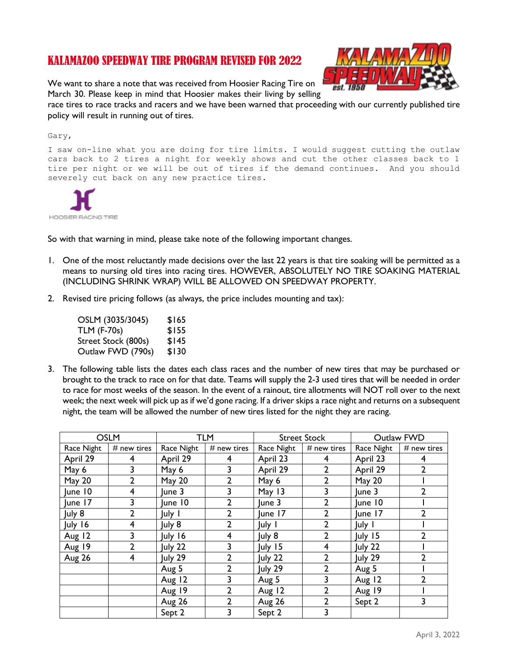# KALAMAZOO SPEEDWAY TIRE PROGRAM REVISED FOR 2022

We want to share a note that was received from Hoosier Racing Tire on March 30. Please keep in mind that Hoosier makes their living by selling



race tires to race tracks and racers and we have been warned that proceeding with our currently published tire policy will result in running out of tires.

#### Gary,

I saw on-line what you are doing for tire limits. I would suggest cutting the outlaw cars back to 2 tires a night for weekly shows and cut the other classes back to 1 tire per night or we will be out of tires if the demand continues. And you should severely cut back on any new practice tires.



So with that warning in mind, please take note of the following important changes.

- 1. One of the most reluctantly made decisions over the last 22 years is that tire soaking will be permitted as a means to nursing old tires into racing tires. HOWEVER, ABSOLUTELY NO TIRE SOAKING MATERIAL (INCLUDING SHRINK WRAP) WILL BE ALLOWED ON SPEEDWAY PROPERTY.
- 2. Revised tire pricing follows (as always, the price includes mounting and tax):

OSLM (3035/3045) \$165 TLM (F-70s) \$155 Street Stock (800s) \$145 Outlaw FWD (790s) \$130

3. The following table lists the dates each class races and the number of new tires that may be purchased or brought to the track to race on for that date. Teams will supply the 2-3 used tires that will be needed in order to race for most weeks of the season. In the event of a rainout, tire allotments will NOT roll over to the next week; the next week will pick up as if we'd gone racing. If a driver skips a race night and returns on a subsequent night, the team will be allowed the number of new tires listed for the night they are racing.

| <b>OSLM</b>   |                | <b>TLM</b>  |                | <b>Street Stock</b> |                | Outlaw FWD       |                |
|---------------|----------------|-------------|----------------|---------------------|----------------|------------------|----------------|
| Race Night    | # new tires    | Race Night  | # new tires    | Race Night          | $#$ new tires  | Race Night       | # new tires    |
| April 29      | 4              | April 29    | 4              | April 23            | 4              | April 23         | 4              |
| May 6         | 3              | May 6       | 3              | April 29            | $\overline{2}$ | April 29         | $\overline{2}$ |
| May 20        | 2              | May 20      | $\overline{2}$ | May 6               | 2              | May 20           |                |
| June 10       | 4              | $ $ une $3$ | 3              | May 13              | 3              | une <sub>3</sub> | $\overline{2}$ |
| June 17       | 3              | June 10     | $\overline{2}$ | lune 3              | 2              | June 10          |                |
| July 8        | $\overline{2}$ | July I      | $\overline{2}$ | June 17             | 2              | June 17          | 2              |
| July 16       | 4              | July 8      | $\overline{2}$ | July I              | 2              | July 1           |                |
| Aug 12        | 3              | July 16     | 4              | July 8              | 2              | July 15          | $\overline{2}$ |
| Aug 19        | $\overline{2}$ | July 22     | 3              | July 15             | 4              | July 22          |                |
| <b>Aug 26</b> | 4              | July 29     | $\overline{2}$ | July 22             | 2              | July 29          | 2              |
|               |                | Aug 5       | $\overline{2}$ | July 29             | 2              | Aug 5            |                |
|               |                | Aug 12      | 3              | Aug 5               | 3              | Aug 12           | $\overline{2}$ |
|               |                | Aug 19      | 2              | Aug 12              |                | Aug 19           |                |
|               |                | Aug 26      | $\mathbf{2}$   | Aug 26              | 2              | Sept 2           | 3              |
|               |                | Sept 2      |                | Sept 2              |                |                  |                |